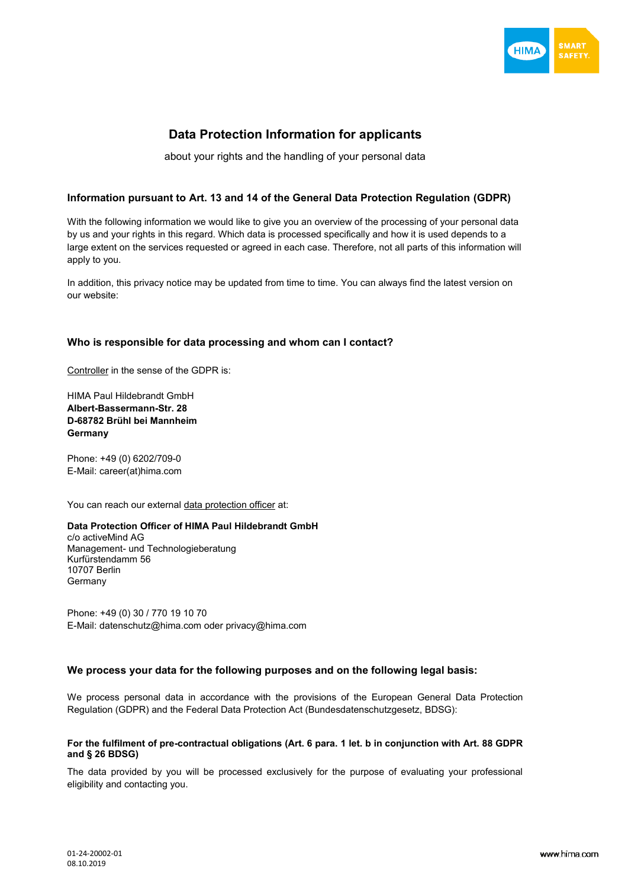

# **Data Protection Information for applicants**

about your rights and the handling of your personal data

# **Information pursuant to Art. 13 and 14 of the General Data Protection Regulation (GDPR)**

With the following information we would like to give you an overview of the processing of your personal data by us and your rights in this regard. Which data is processed specifically and how it is used depends to a large extent on the services requested or agreed in each case. Therefore, not all parts of this information will apply to you.

In addition, this privacy notice may be updated from time to time. You can always find the latest version on our website:

# **Who is responsible for data processing and whom can I contact?**

Controller in the sense of the GDPR is:

HIMA Paul Hildebrandt GmbH **Albert-Bassermann-Str. 28 D-68782 Brühl bei Mannheim Germany**

Phone: +49 (0) 6202/709-0 E-Mail: career(at)hima.com

You can reach our external data protection officer at:

# **Data Protection Officer of HIMA Paul Hildebrandt GmbH**

c/o activeMind AG Management- und Technologieberatung Kurfürstendamm 56 10707 Berlin Germany

Phone: +49 (0) 30 / 770 19 10 70 E-Mail: [datenschutz@hima.com](mailto:datenschutz@hima.com) oder [privacy@hima.com](mailto:privacy@hima.co)

# **We process your data for the following purposes and on the following legal basis:**

We process personal data in accordance with the provisions of the European General Data Protection Regulation (GDPR) and the Federal Data Protection Act (Bundesdatenschutzgesetz, BDSG):

# **For the fulfilment of pre-contractual obligations (Art. 6 para. 1 let. b in conjunction with Art. 88 GDPR and § 26 BDSG)**

The data provided by you will be processed exclusively for the purpose of evaluating your professional eligibility and contacting you.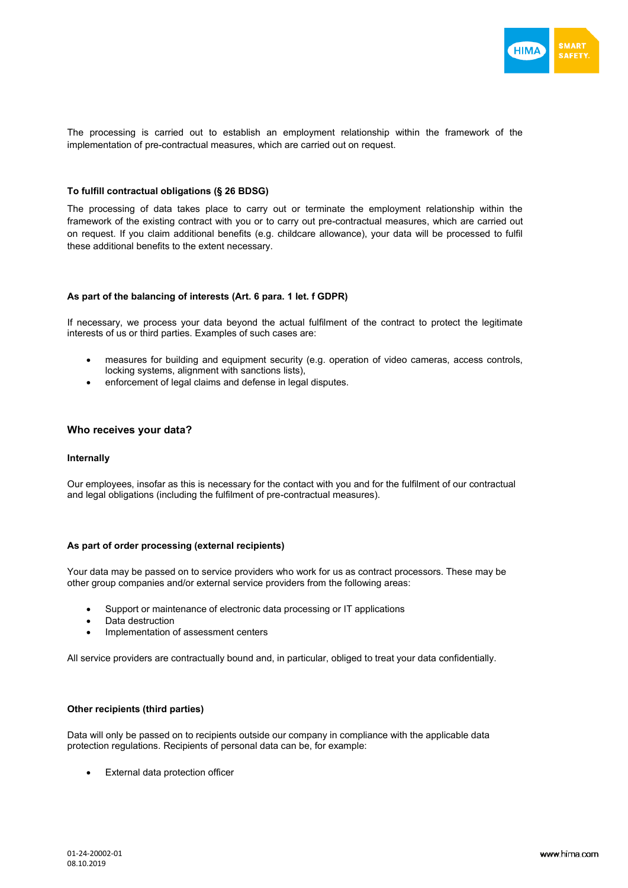

The processing is carried out to establish an employment relationship within the framework of the implementation of pre-contractual measures, which are carried out on request.

### **To fulfill contractual obligations (§ 26 BDSG)**

The processing of data takes place to carry out or terminate the employment relationship within the framework of the existing contract with you or to carry out pre-contractual measures, which are carried out on request. If you claim additional benefits (e.g. childcare allowance), your data will be processed to fulfil these additional benefits to the extent necessary.

# **As part of the balancing of interests (Art. 6 para. 1 let. f GDPR)**

If necessary, we process your data beyond the actual fulfilment of the contract to protect the legitimate interests of us or third parties. Examples of such cases are:

- measures for building and equipment security (e.g. operation of video cameras, access controls, locking systems, alignment with sanctions lists),
- enforcement of legal claims and defense in legal disputes.

# **Who receives your data?**

#### **Internally**

Our employees, insofar as this is necessary for the contact with you and for the fulfilment of our contractual and legal obligations (including the fulfilment of pre-contractual measures).

#### **As part of order processing (external recipients)**

Your data may be passed on to service providers who work for us as contract processors. These may be other group companies and/or external service providers from the following areas:

- Support or maintenance of electronic data processing or IT applications
- Data destruction
- Implementation of assessment centers

All service providers are contractually bound and, in particular, obliged to treat your data confidentially.

# **Other recipients (third parties)**

Data will only be passed on to recipients outside our company in compliance with the applicable data protection regulations. Recipients of personal data can be, for example:

External data protection officer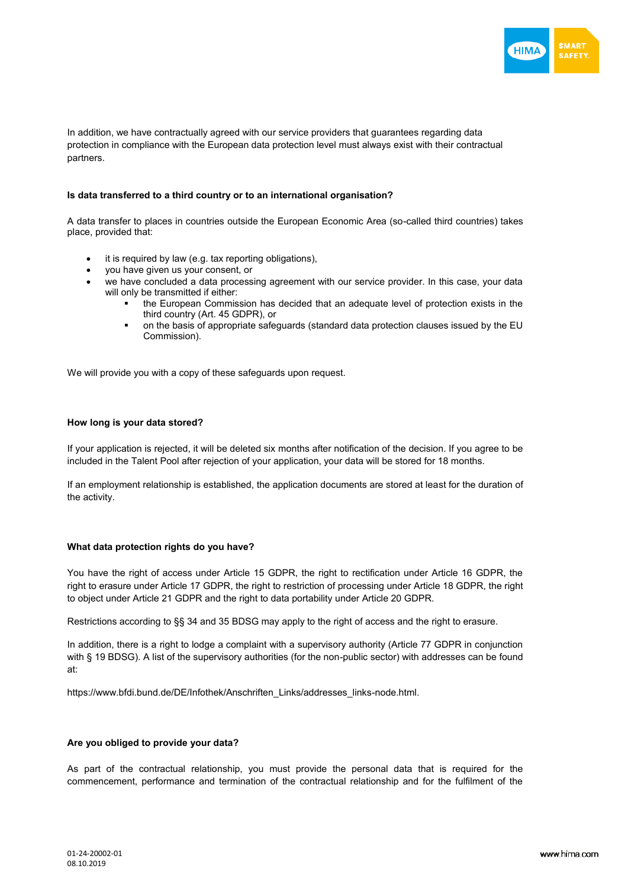

In addition, we have contractually agreed with our service providers that guarantees regarding data protection in compliance with the European data protection level must always exist with their contractual partners.

# **Is data transferred to a third country or to an international organisation?**

A data transfer to places in countries outside the European Economic Area (so-called third countries) takes place, provided that:

- it is required by law (e.g. tax reporting obligations),
- you have given us your consent, or
- we have concluded a data processing agreement with our service provider. In this case, your data will only be transmitted if either:
	- the European Commission has decided that an adequate level of protection exists in the third country (Art. 45 GDPR), or
	- on the basis of appropriate safeguards (standard data protection clauses issued by the EU Commission).

We will provide you with a copy of these safeguards upon request.

### **How long is your data stored?**

If your application is rejected, it will be deleted six months after notification of the decision. If you agree to be included in the Talent Pool after rejection of your application, your data will be stored for 18 months.

If an employment relationship is established, the application documents are stored at least for the duration of the activity.

### **What data protection rights do you have?**

You have the right of access under Article 15 GDPR, the right to rectification under Article 16 GDPR, the right to erasure under Article 17 GDPR, the right to restriction of processing under Article 18 GDPR, the right to object under Article 21 GDPR and the right to data portability under Article 20 GDPR.

Restrictions according to §§ 34 and 35 BDSG may apply to the right of access and the right to erasure.

In addition, there is a right to lodge a complaint with a supervisory authority (Article 77 GDPR in conjunction with § 19 BDSG). A list of the supervisory authorities (for the non-public sector) with addresses can be found at:

[https://www.bfdi.bund.de/DE/Infothek/Anschriften\\_Links/addresses\\_links-node.html.](https://www.bfdi.bund.de/DE/Infothek/Anschriften_Links/anschriften_links-node.html)

# **Are you obliged to provide your data?**

As part of the contractual relationship, you must provide the personal data that is required for the commencement, performance and termination of the contractual relationship and for the fulfilment of the